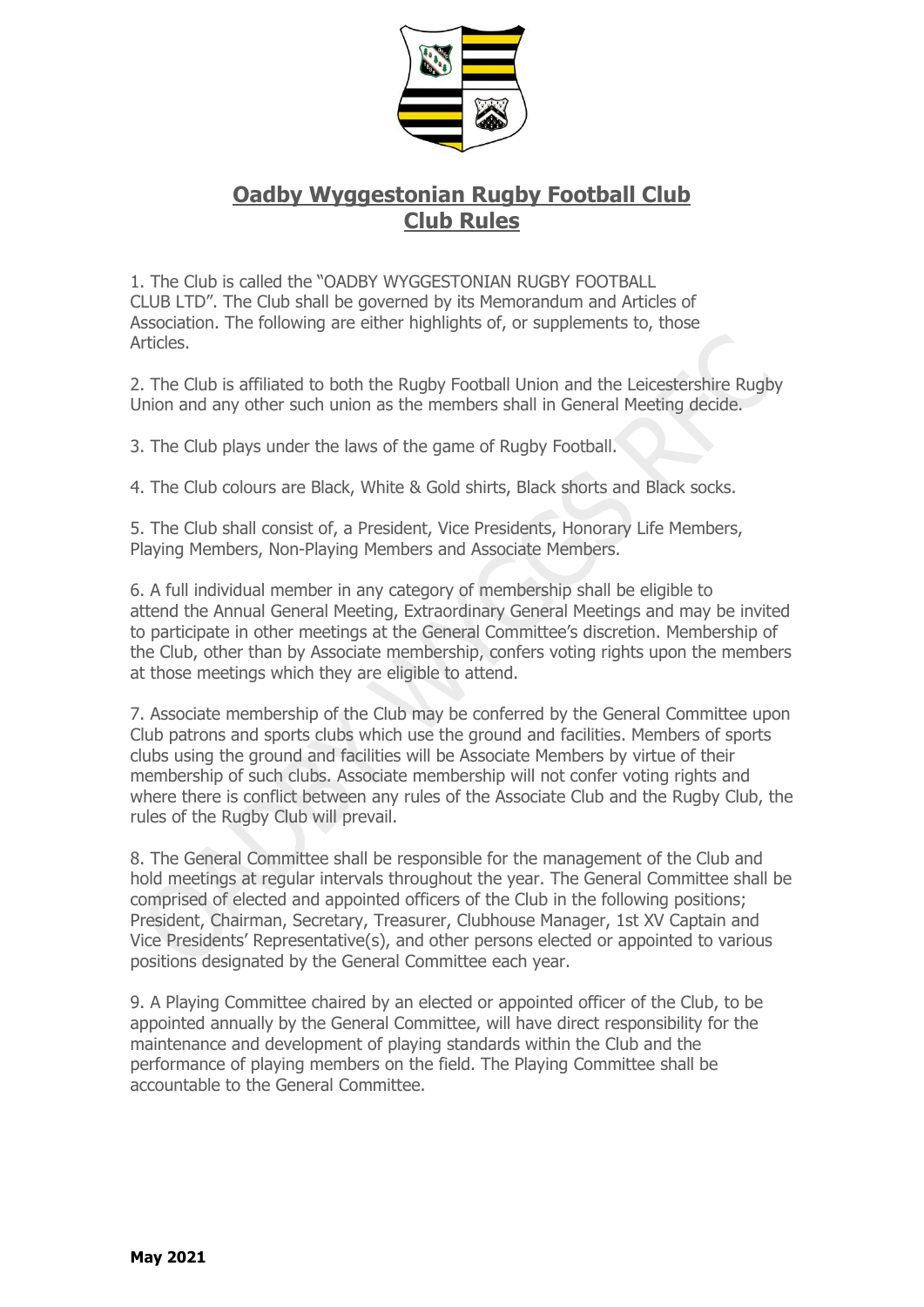

## **Oadby Wyggestonian Rugby Football Club Club Rules**

1. The Club is called the "OADBY WYGGESTONIAN RUGBY FOOTBALL CLUB LTD". The Club shall be governed by its Memorandum and Articles of Association. The following are either highlights of, or supplements to, those Articles.

2. The Club is affiliated to both the Rugby Football Union and the Leicestershire Rugby Union and any other such union as the members shall in General Meeting decide.

3. The Club plays under the laws of the game of Rugby Football.

4. The Club colours are Black, White & Gold shirts, Black shorts and Black socks.

5. The Club shall consist of, a President, Vice Presidents, Honorary Life Members, Playing Members, Non-Playing Members and Associate Members.

6. A full individual member in any category of membership shall be eligible to attend the Annual General Meeting, Extraordinary General Meetings and may be invited to participate in other meetings at the General Committee's discretion. Membership of the Club, other than by Associate membership, confers voting rights upon the members at those meetings which they are eligible to attend.

7. Associate membership of the Club may be conferred by the General Committee upon Club patrons and sports clubs which use the ground and facilities. Members of sports clubs using the ground and facilities will be Associate Members by virtue of their membership of such clubs. Associate membership will not confer voting rights and where there is conflict between any rules of the Associate Club and the Rugby Club, the rules of the Rugby Club will prevail.

8. The General Committee shall be responsible for the management of the Club and hold meetings at regular intervals throughout the year. The General Committee shall be comprised of elected and appointed officers of the Club in the following positions; President, Chairman, Secretary, Treasurer, Clubhouse Manager, 1st XV Captain and Vice Presidents' Representative(s), and other persons elected or appointed to various positions designated by the General Committee each year.

9. A Playing Committee chaired by an elected or appointed officer of the Club, to be appointed annually by the General Committee, will have direct responsibility for the maintenance and development of playing standards within the Club and the performance of playing members on the field. The Playing Committee shall be accountable to the General Committee.